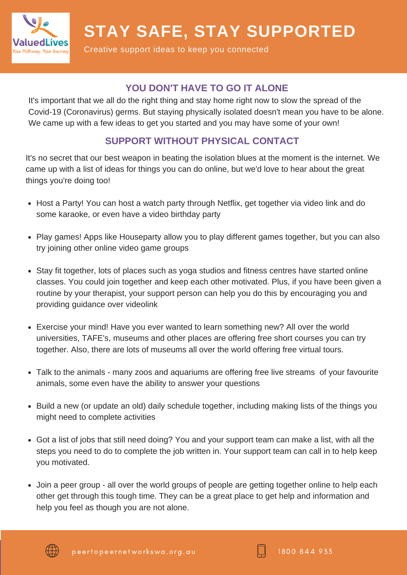

**STAY SAFE, STAY SUPPORTED**

Creative support ideas to keep you connected

#### **YOU DON'T HAVE TO GO IT ALONE**

It's important that we all do the right thing and stay home right now to slow the spread of the Covid-19 (Coronavirus) germs. But staying physically isolated doesn't mean you have to be alone. We came up with a few ideas to get you started and you may have some of your own!

## **SUPPORT WITHOUT PHYSICAL CONTACT**

It's no secret that our best weapon in beating the isolation blues at the moment is the internet. We came up with a list of ideas for things you can do online, but we'd love to hear about the great things you're doing too!

- Host a Party! You can host a watch party through Netflix, get together via video link and do some karaoke, or even have a video birthday party
- Play games! Apps like Houseparty allow you to play different games together, but you can also try joining other online video game groups
- Stay fit together, lots of places such as yoga studios and fitness centres have started online classes. You could join together and keep each other motivated. Plus, if you have been given a routine by your therapist, your support person can help you do this by encouraging you and providing guidance over videolink
- Exercise your mind! Have you ever wanted to learn something new? All over the world universities, TAFE's, museums and other places are offering free short courses you can try together. Also, there are lots of museums all over the world offering free virtual tours.
- Talk to the animals many zoos and aquariums are offering free live streams of your favourite animals, some even have the ability to answer your questions
- Build a new (or update an old) daily schedule together, including making lists of the things you might need to complete activities
- Got a list of jobs that still need doing? You and your support team can make a list, with all the steps you need to do to complete the job written in. Your support team can call in to help keep you motivated.
- Join a peer group all over the world groups of people are getting together online to help each other get through this tough time. They can be a great place to get help and information and help you feel as though you are not alone.